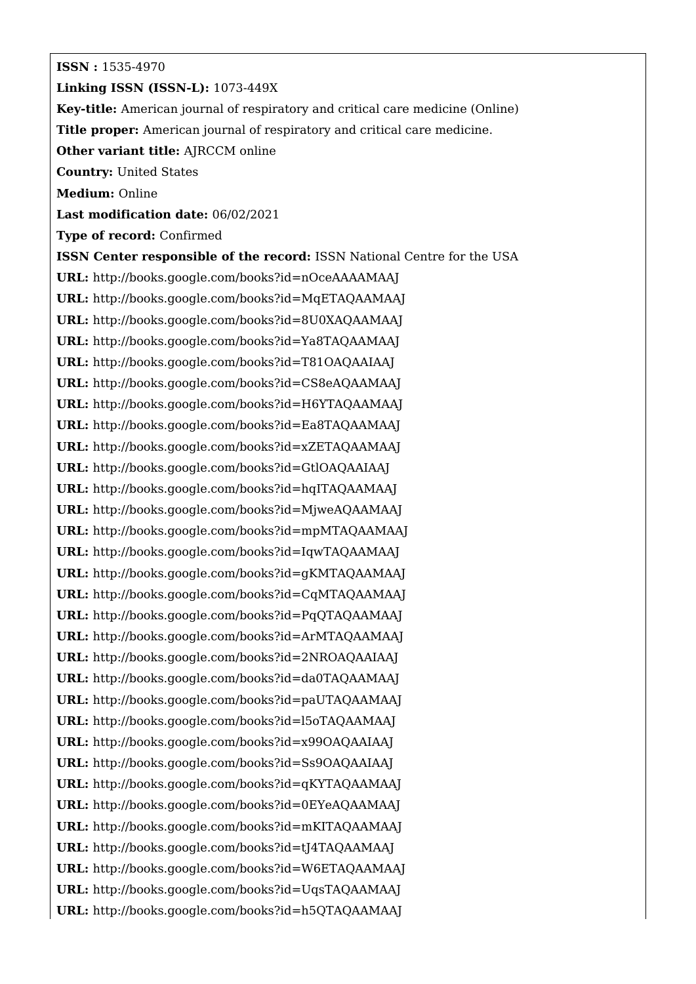**ISSN :** 1535-4970 **Linking ISSN (ISSN-L):** 1073-449X **Key-title:** American journal of respiratory and critical care medicine (Online) **Title proper:** American journal of respiratory and critical care medicine. **Other variant title: AJRCCM online Country:** United States **Medium:** Online **Last modification date:** 06/02/2021 **Type of record:** Confirmed **ISSN Center responsible of the record:** ISSN National Centre for the USA **URL:** <http://books.google.com/books?id=nOceAAAAMAAJ> **URL:** <http://books.google.com/books?id=MqETAQAAMAAJ> **URL:** <http://books.google.com/books?id=8U0XAQAAMAAJ> **URL:** <http://books.google.com/books?id=Ya8TAQAAMAAJ> **URL:** <http://books.google.com/books?id=T81OAQAAIAAJ> **URL:** <http://books.google.com/books?id=CS8eAQAAMAAJ> **URL:** <http://books.google.com/books?id=H6YTAQAAMAAJ> **URL:** <http://books.google.com/books?id=Ea8TAQAAMAAJ> **URL:** <http://books.google.com/books?id=xZETAQAAMAAJ> **URL:** <http://books.google.com/books?id=GtlOAQAAIAAJ> **URL:** <http://books.google.com/books?id=hqITAQAAMAAJ> **URL:** <http://books.google.com/books?id=MjweAQAAMAAJ> **URL:** <http://books.google.com/books?id=mpMTAQAAMAAJ> **URL:** <http://books.google.com/books?id=IqwTAQAAMAAJ> **URL:** <http://books.google.com/books?id=gKMTAQAAMAAJ> **URL:** <http://books.google.com/books?id=CqMTAQAAMAAJ> **URL:** <http://books.google.com/books?id=PqQTAQAAMAAJ> **URL:** <http://books.google.com/books?id=ArMTAQAAMAAJ> **URL:** <http://books.google.com/books?id=2NROAQAAIAAJ> **URL:** <http://books.google.com/books?id=da0TAQAAMAAJ> **URL:** <http://books.google.com/books?id=paUTAQAAMAAJ> **URL:** <http://books.google.com/books?id=l5oTAQAAMAAJ> **URL:** <http://books.google.com/books?id=x99OAQAAIAAJ> **URL:** <http://books.google.com/books?id=Ss9OAQAAIAAJ> **URL:** <http://books.google.com/books?id=qKYTAQAAMAAJ> **URL:** <http://books.google.com/books?id=0EYeAQAAMAAJ> **URL:** <http://books.google.com/books?id=mKITAQAAMAAJ> **URL:** <http://books.google.com/books?id=tJ4TAQAAMAAJ> **URL:** <http://books.google.com/books?id=W6ETAQAAMAAJ> **URL:** <http://books.google.com/books?id=UqsTAQAAMAAJ> **URL:** <http://books.google.com/books?id=h5QTAQAAMAAJ>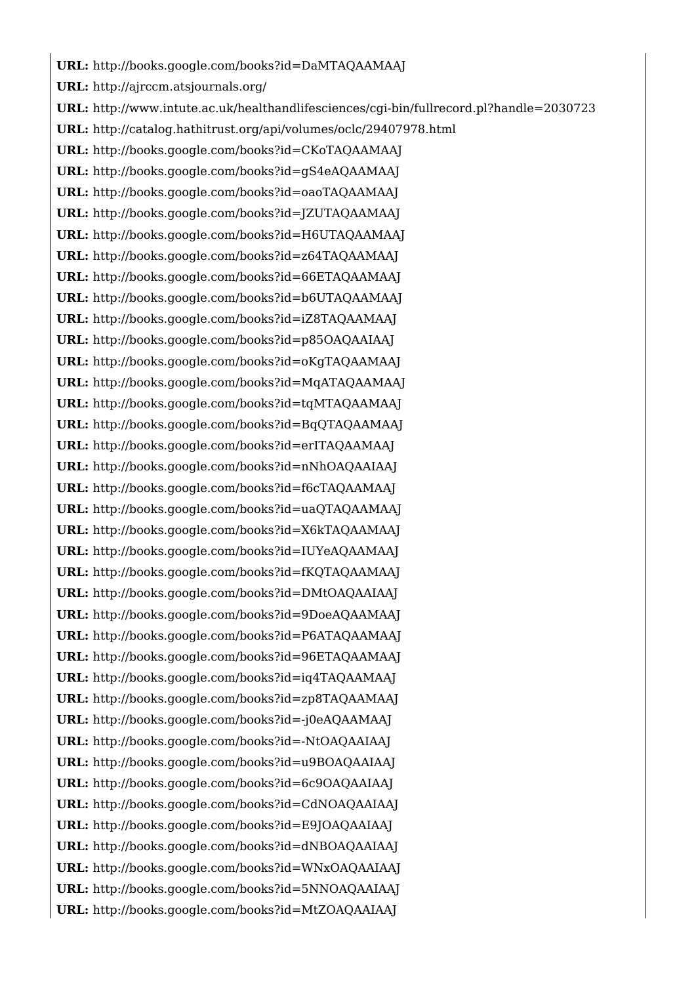**URL:** <http://books.google.com/books?id=DaMTAQAAMAAJ> **URL:** <http://ajrccm.atsjournals.org/> **URL:** <http://www.intute.ac.uk/healthandlifesciences/cgi-bin/fullrecord.pl?handle=2030723> **URL:** <http://catalog.hathitrust.org/api/volumes/oclc/29407978.html> **URL:** <http://books.google.com/books?id=CKoTAQAAMAAJ> **URL:** <http://books.google.com/books?id=gS4eAQAAMAAJ> **URL:** <http://books.google.com/books?id=oaoTAQAAMAAJ> **URL:** <http://books.google.com/books?id=JZUTAQAAMAAJ> **URL:** <http://books.google.com/books?id=H6UTAQAAMAAJ> **URL:** <http://books.google.com/books?id=z64TAQAAMAAJ> **URL:** <http://books.google.com/books?id=66ETAQAAMAAJ> **URL:** <http://books.google.com/books?id=b6UTAQAAMAAJ> **URL:** <http://books.google.com/books?id=iZ8TAQAAMAAJ> **URL:** <http://books.google.com/books?id=p85OAQAAIAAJ> **URL:** <http://books.google.com/books?id=oKgTAQAAMAAJ> **URL:** <http://books.google.com/books?id=MqATAQAAMAAJ> **URL:** <http://books.google.com/books?id=tqMTAQAAMAAJ> **URL:** <http://books.google.com/books?id=BqQTAQAAMAAJ> **URL:** <http://books.google.com/books?id=erITAQAAMAAJ> **URL:** <http://books.google.com/books?id=nNhOAQAAIAAJ> **URL:** <http://books.google.com/books?id=f6cTAQAAMAAJ> **URL:** <http://books.google.com/books?id=uaQTAQAAMAAJ> **URL:** <http://books.google.com/books?id=X6kTAQAAMAAJ> **URL:** <http://books.google.com/books?id=IUYeAQAAMAAJ> **URL:** <http://books.google.com/books?id=fKQTAQAAMAAJ> **URL:** <http://books.google.com/books?id=DMtOAQAAIAAJ> **URL:** <http://books.google.com/books?id=9DoeAQAAMAAJ> **URL:** <http://books.google.com/books?id=P6ATAQAAMAAJ> **URL:** <http://books.google.com/books?id=96ETAQAAMAAJ> **URL:** <http://books.google.com/books?id=iq4TAQAAMAAJ> **URL:** <http://books.google.com/books?id=zp8TAQAAMAAJ> **URL:** <http://books.google.com/books?id=-j0eAQAAMAAJ> **URL:** <http://books.google.com/books?id=-NtOAQAAIAAJ> **URL:** <http://books.google.com/books?id=u9BOAQAAIAAJ> **URL:** <http://books.google.com/books?id=6c9OAQAAIAAJ> **URL:** <http://books.google.com/books?id=CdNOAQAAIAAJ> **URL:** <http://books.google.com/books?id=E9JOAQAAIAAJ> **URL:** <http://books.google.com/books?id=dNBOAQAAIAAJ> **URL:** <http://books.google.com/books?id=WNxOAQAAIAAJ> **URL:** <http://books.google.com/books?id=5NNOAQAAIAAJ> **URL:** <http://books.google.com/books?id=MtZOAQAAIAAJ>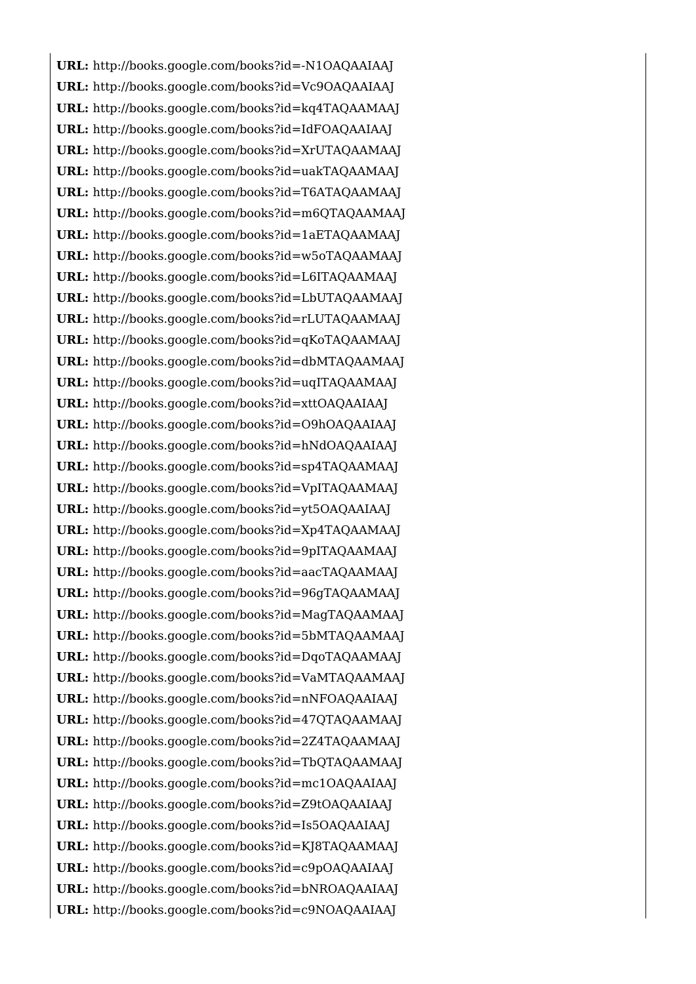**URL:** <http://books.google.com/books?id=-N1OAQAAIAAJ> **URL:** <http://books.google.com/books?id=Vc9OAQAAIAAJ> **URL:** <http://books.google.com/books?id=kq4TAQAAMAAJ> **URL:** <http://books.google.com/books?id=IdFOAQAAIAAJ> **URL:** <http://books.google.com/books?id=XrUTAQAAMAAJ> **URL:** <http://books.google.com/books?id=uakTAQAAMAAJ> **URL:** <http://books.google.com/books?id=T6ATAQAAMAAJ> **URL:** <http://books.google.com/books?id=m6QTAQAAMAAJ> **URL:** <http://books.google.com/books?id=1aETAQAAMAAJ> **URL:** <http://books.google.com/books?id=w5oTAQAAMAAJ> **URL:** <http://books.google.com/books?id=L6ITAQAAMAAJ> **URL:** <http://books.google.com/books?id=LbUTAQAAMAAJ> **URL:** <http://books.google.com/books?id=rLUTAQAAMAAJ> **URL:** <http://books.google.com/books?id=qKoTAQAAMAAJ> **URL:** <http://books.google.com/books?id=dbMTAQAAMAAJ> **URL:** <http://books.google.com/books?id=uqITAQAAMAAJ> **URL:** <http://books.google.com/books?id=xttOAQAAIAAJ> **URL:** <http://books.google.com/books?id=O9hOAQAAIAAJ> **URL:** <http://books.google.com/books?id=hNdOAQAAIAAJ> **URL:** <http://books.google.com/books?id=sp4TAQAAMAAJ> **URL:** <http://books.google.com/books?id=VpITAQAAMAAJ> **URL:** <http://books.google.com/books?id=yt5OAQAAIAAJ> **URL:** <http://books.google.com/books?id=Xp4TAQAAMAAJ> **URL:** <http://books.google.com/books?id=9pITAQAAMAAJ> **URL:** <http://books.google.com/books?id=aacTAQAAMAAJ> **URL:** <http://books.google.com/books?id=96gTAQAAMAAJ> **URL:** <http://books.google.com/books?id=MagTAQAAMAAJ> **URL:** <http://books.google.com/books?id=5bMTAQAAMAAJ> **URL:** <http://books.google.com/books?id=DqoTAQAAMAAJ> **URL:** <http://books.google.com/books?id=VaMTAQAAMAAJ> **URL:** <http://books.google.com/books?id=nNFOAQAAIAAJ> **URL:** <http://books.google.com/books?id=47QTAQAAMAAJ> **URL:** <http://books.google.com/books?id=2Z4TAQAAMAAJ> **URL:** <http://books.google.com/books?id=TbQTAQAAMAAJ> **URL:** <http://books.google.com/books?id=mc1OAQAAIAAJ> **URL:** <http://books.google.com/books?id=Z9tOAQAAIAAJ> **URL:** <http://books.google.com/books?id=Is5OAQAAIAAJ> **URL:** <http://books.google.com/books?id=KJ8TAQAAMAAJ> **URL:** <http://books.google.com/books?id=c9pOAQAAIAAJ> **URL:** <http://books.google.com/books?id=bNROAQAAIAAJ> **URL:** <http://books.google.com/books?id=c9NOAQAAIAAJ>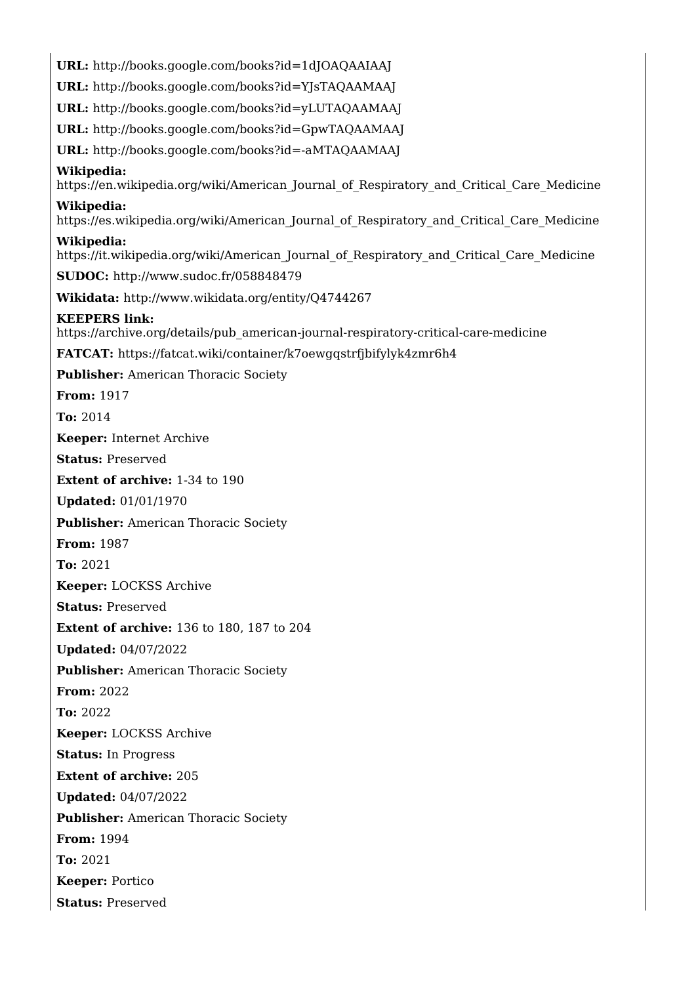**URL:** <http://books.google.com/books?id=1dJOAQAAIAAJ> **URL:** <http://books.google.com/books?id=YJsTAQAAMAAJ> **URL:** <http://books.google.com/books?id=yLUTAQAAMAAJ> **URL:** <http://books.google.com/books?id=GpwTAQAAMAAJ> **URL:** <http://books.google.com/books?id=-aMTAQAAMAAJ> **Wikipedia:** https://en.wikipedia.org/wiki/American Journal of Respiratory and Critical Care Medicine **Wikipedia:** [https://es.wikipedia.org/wiki/American\\_Journal\\_of\\_Respiratory\\_and\\_Critical\\_Care\\_Medicine](https://es.wikipedia.org/wiki/American_Journal_of_Respiratory_and_Critical_Care_Medicine) **Wikipedia:** https://it.wikipedia.org/wiki/American Journal of Respiratory and Critical Care Medicine **SUDOC:** <http://www.sudoc.fr/058848479> **Wikidata:** <http://www.wikidata.org/entity/Q4744267> **KEEPERS link:** [https://archive.org/details/pub\\_american-journal-respiratory-critical-care-medicine](https://archive.org/details/pub_american-journal-respiratory-critical-care-medicine) **FATCAT:** <https://fatcat.wiki/container/k7oewgqstrfjbifylyk4zmr6h4> **Publisher:** American Thoracic Society **From:** 1917 **To:** 2014 **Keeper:** Internet Archive **Status:** Preserved **Extent of archive:** 1-34 to 190 **Updated:** 01/01/1970 **Publisher:** American Thoracic Society **From:** 1987 **To:** 2021 **Keeper:** LOCKSS Archive **Status:** Preserved **Extent of archive:** 136 to 180, 187 to 204 **Updated:** 04/07/2022 **Publisher:** American Thoracic Society **From:** 2022 **To:** 2022 **Keeper:** LOCKSS Archive **Status:** In Progress **Extent of archive:** 205 **Updated:** 04/07/2022 **Publisher:** American Thoracic Society **From:** 1994 **To:** 2021 **Keeper:** Portico **Status:** Preserved